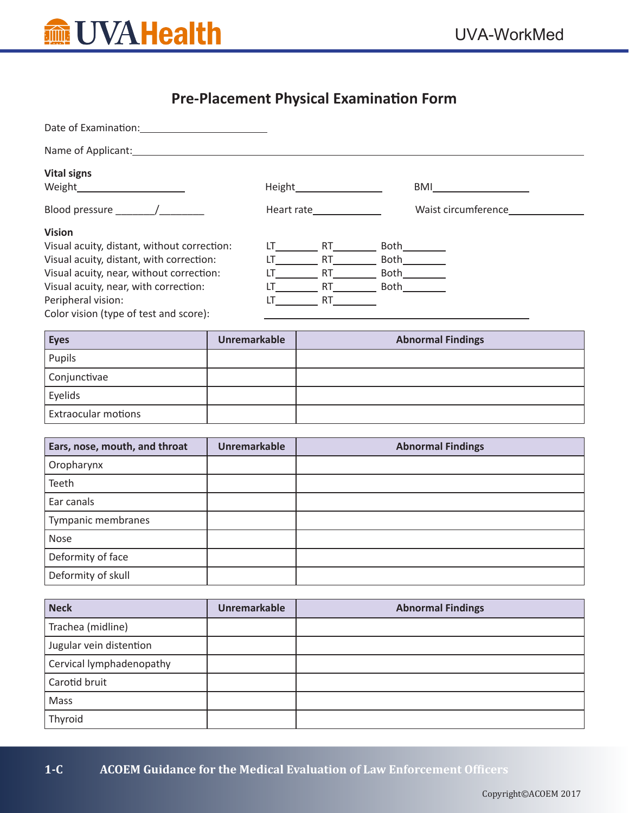

# **Pre-Placement Physical Examination Form**

| Date of Examination: Note that the state of Examination: |         |            |             |                     |
|----------------------------------------------------------|---------|------------|-------------|---------------------|
| Name of Applicant: Name of Applicant:                    |         |            |             |                     |
| <b>Vital signs</b>                                       |         |            |             |                     |
|                                                          | Height_ |            |             | BMI                 |
| Blood pressure /                                         |         | Heart rate |             | Waist circumference |
| <b>Vision</b>                                            |         |            |             |                     |
| Visual acuity, distant, without correction:              |         | RT.        | Both        |                     |
| Visual acuity, distant, with correction:                 | IT.     | <b>RT</b>  | <b>Both</b> |                     |
| Visual acuity, near, without correction:                 |         | RT.        | <b>Both</b> |                     |
| Visual acuity, near, with correction:                    |         | RT.        | Both        |                     |
| Peripheral vision:                                       | IΤ      | <b>RT</b>  |             |                     |
| Color vision (type of test and score):                   |         |            |             |                     |

| <b>Eyes</b>                | <b>Unremarkable</b> | <b>Abnormal Findings</b> |
|----------------------------|---------------------|--------------------------|
| Pupils                     |                     |                          |
| Conjunctivae               |                     |                          |
| Eyelids                    |                     |                          |
| <b>Extraocular motions</b> |                     |                          |

| Ears, nose, mouth, and throat | <b>Unremarkable</b> | <b>Abnormal Findings</b> |
|-------------------------------|---------------------|--------------------------|
| Oropharynx                    |                     |                          |
| Teeth                         |                     |                          |
| Ear canals                    |                     |                          |
| Tympanic membranes            |                     |                          |
| Nose                          |                     |                          |
| Deformity of face             |                     |                          |
| Deformity of skull            |                     |                          |

| <b>Neck</b>              | <b>Unremarkable</b> | <b>Abnormal Findings</b> |
|--------------------------|---------------------|--------------------------|
| Trachea (midline)        |                     |                          |
| Jugular vein distention  |                     |                          |
| Cervical lymphadenopathy |                     |                          |
| Carotid bruit            |                     |                          |
| Mass                     |                     |                          |
| Thyroid                  |                     |                          |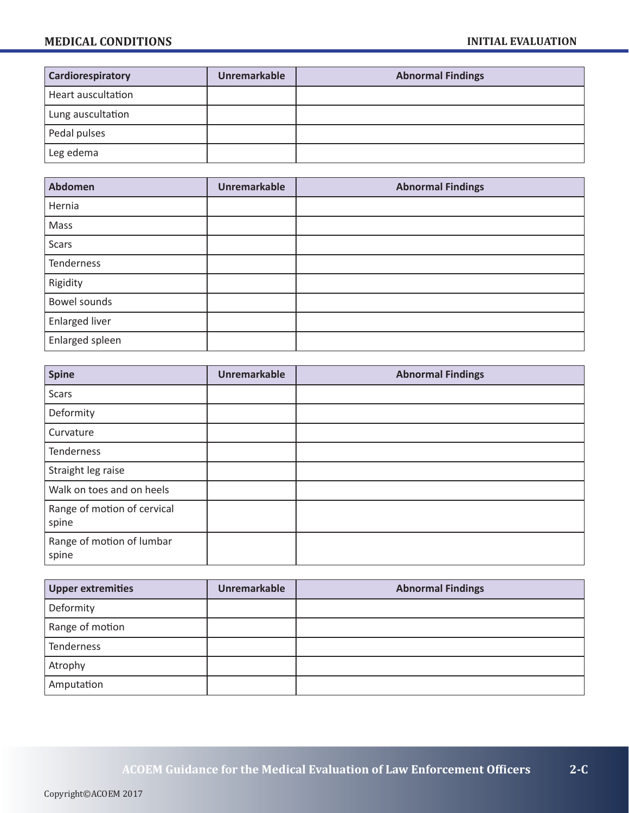| Cardiorespiratory      | <b>Unremarkable</b> | <b>Abnormal Findings</b> |
|------------------------|---------------------|--------------------------|
| Heart auscultation     |                     |                          |
| Lung auscultation      |                     |                          |
| Pedal pulses           |                     |                          |
| <sup>1</sup> Leg edema |                     |                          |

| <b>Abdomen</b>        | <b>Unremarkable</b> | <b>Abnormal Findings</b> |
|-----------------------|---------------------|--------------------------|
| Hernia                |                     |                          |
| Mass                  |                     |                          |
| <b>Scars</b>          |                     |                          |
| Tenderness            |                     |                          |
| Rigidity              |                     |                          |
| Bowel sounds          |                     |                          |
| <b>Enlarged liver</b> |                     |                          |
| Enlarged spleen       |                     |                          |

| <b>Spine</b>                         | <b>Unremarkable</b> | <b>Abnormal Findings</b> |
|--------------------------------------|---------------------|--------------------------|
| <b>Scars</b>                         |                     |                          |
| Deformity                            |                     |                          |
| Curvature                            |                     |                          |
| Tenderness                           |                     |                          |
| Straight leg raise                   |                     |                          |
| Walk on toes and on heels            |                     |                          |
| Range of motion of cervical<br>spine |                     |                          |
| Range of motion of lumbar<br>spine   |                     |                          |

| <b>Upper extremities</b> | <b>Unremarkable</b> | <b>Abnormal Findings</b> |
|--------------------------|---------------------|--------------------------|
| Deformity                |                     |                          |
| Range of motion          |                     |                          |
| <b>Tenderness</b>        |                     |                          |
| Atrophy                  |                     |                          |
| Amputation               |                     |                          |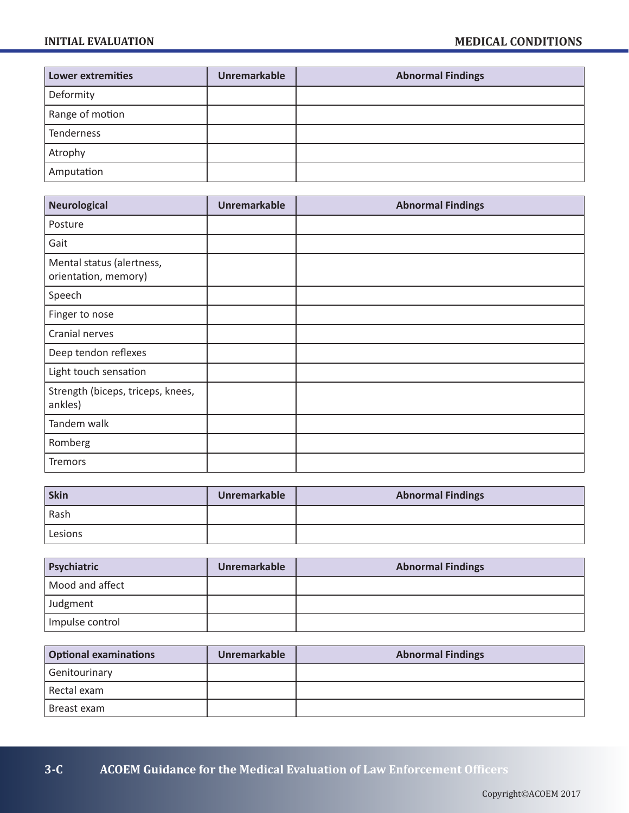| <b>Lower extremities</b> | <b>Unremarkable</b> | <b>Abnormal Findings</b> |
|--------------------------|---------------------|--------------------------|
| Deformity                |                     |                          |
| Range of motion          |                     |                          |
| Tenderness               |                     |                          |
| Atrophy                  |                     |                          |
| Amputation               |                     |                          |

| <b>Neurological</b>                               | <b>Unremarkable</b> | <b>Abnormal Findings</b> |
|---------------------------------------------------|---------------------|--------------------------|
| Posture                                           |                     |                          |
| Gait                                              |                     |                          |
| Mental status (alertness,<br>orientation, memory) |                     |                          |
| Speech                                            |                     |                          |
| Finger to nose                                    |                     |                          |
| Cranial nerves                                    |                     |                          |
| Deep tendon reflexes                              |                     |                          |
| Light touch sensation                             |                     |                          |
| Strength (biceps, triceps, knees,<br>ankles)      |                     |                          |
| Tandem walk                                       |                     |                          |
| Romberg                                           |                     |                          |
| Tremors                                           |                     |                          |

| Skin    | Unremarkable | <b>Abnormal Findings</b> |
|---------|--------------|--------------------------|
| Rash    |              |                          |
| Lesions |              |                          |

| Psychiatric     | <b>Unremarkable</b> | <b>Abnormal Findings</b> |
|-----------------|---------------------|--------------------------|
| Mood and affect |                     |                          |
| Judgment        |                     |                          |
| Impulse control |                     |                          |

| <b>Optional examinations</b> | <b>Unremarkable</b> | <b>Abnormal Findings</b> |
|------------------------------|---------------------|--------------------------|
| Genitourinary                |                     |                          |
| Rectal exam                  |                     |                          |
| Breast exam                  |                     |                          |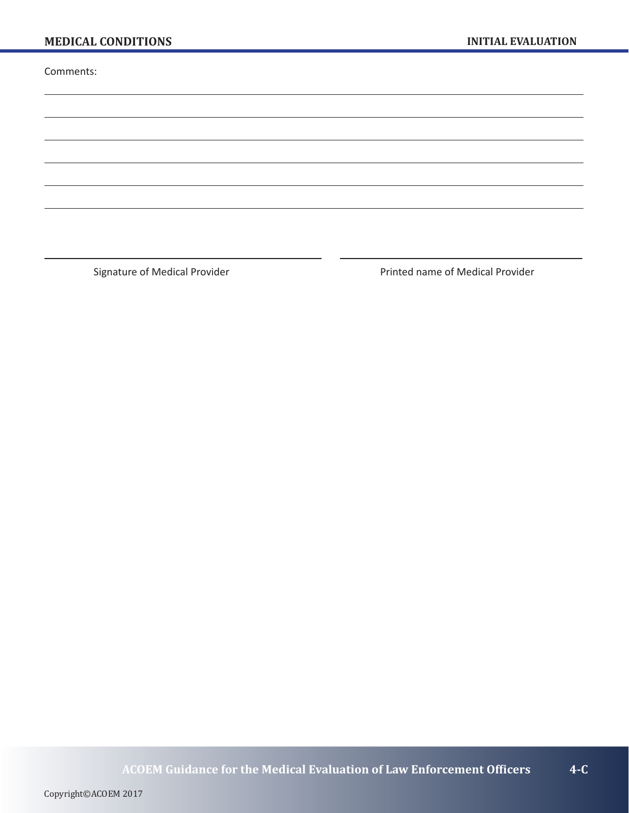Comments:

Signature of Medical Provider **Printed name of Medical Provider** Printed name of Medical Provider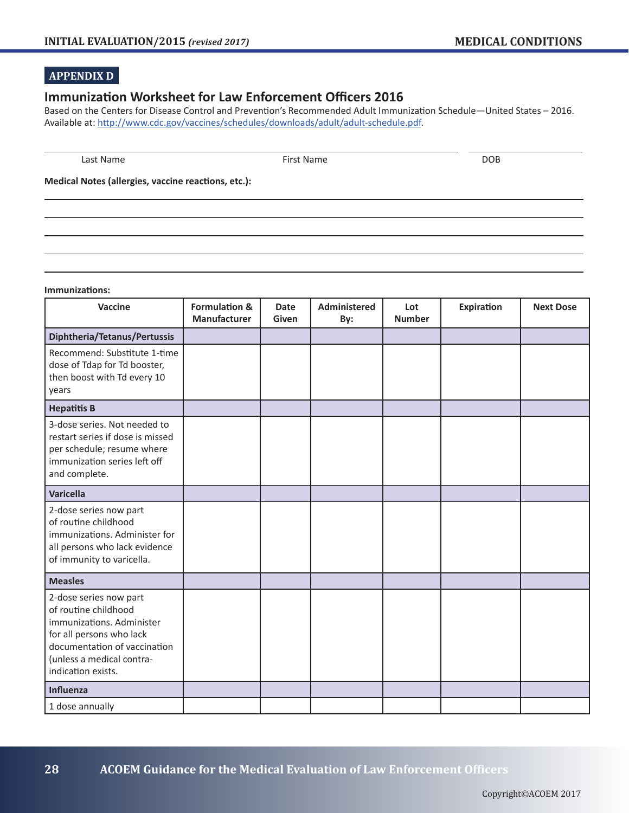### **APPENDIX D**

#### **Immunization Worksheet for Law Enforcement Officers 2016**

Based on the Centers for Disease Control and Prevention's Recommended Adult Immunization Schedule—United States – 2016. Available at: http://www.cdc.gov/vaccines/schedules/downloads/adult/adult-schedule.pdf.

Last Name and DOB and the Second Second Second Second Second Second Second Second Second Second Second Second S

**Medical Notes (allergies, vaccine reactions, etc.):**

#### **Immunizations:**

| <b>Vaccine</b>                                                                                                                                                                             | <b>Formulation &amp;</b><br>Manufacturer | <b>Date</b><br>Given | <b>Administered</b><br>By: | Lot<br><b>Number</b> | <b>Expiration</b> | <b>Next Dose</b> |
|--------------------------------------------------------------------------------------------------------------------------------------------------------------------------------------------|------------------------------------------|----------------------|----------------------------|----------------------|-------------------|------------------|
| Diphtheria/Tetanus/Pertussis                                                                                                                                                               |                                          |                      |                            |                      |                   |                  |
| Recommend: Substitute 1-time<br>dose of Tdap for Td booster,<br>then boost with Td every 10<br>years                                                                                       |                                          |                      |                            |                      |                   |                  |
| <b>Hepatitis B</b>                                                                                                                                                                         |                                          |                      |                            |                      |                   |                  |
| 3-dose series. Not needed to<br>restart series if dose is missed<br>per schedule; resume where<br>immunization series left off<br>and complete.                                            |                                          |                      |                            |                      |                   |                  |
| <b>Varicella</b>                                                                                                                                                                           |                                          |                      |                            |                      |                   |                  |
| 2-dose series now part<br>of routine childhood<br>immunizations. Administer for<br>all persons who lack evidence<br>of immunity to varicella.                                              |                                          |                      |                            |                      |                   |                  |
| <b>Measles</b>                                                                                                                                                                             |                                          |                      |                            |                      |                   |                  |
| 2-dose series now part<br>of routine childhood<br>immunizations. Administer<br>for all persons who lack<br>documentation of vaccination<br>(unless a medical contra-<br>indication exists. |                                          |                      |                            |                      |                   |                  |
| <b>Influenza</b>                                                                                                                                                                           |                                          |                      |                            |                      |                   |                  |
| 1 dose annually                                                                                                                                                                            |                                          |                      |                            |                      |                   |                  |